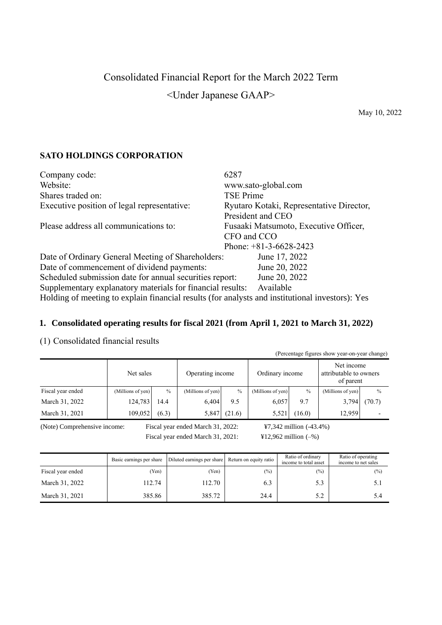## Consolidated Financial Report for the March 2022 Term

<Under Japanese GAAP>

May 10, 2022

## **SATO HOLDINGS CORPORATION**

| Company code:                                                                                   | 6287                                     |  |  |
|-------------------------------------------------------------------------------------------------|------------------------------------------|--|--|
| Website:                                                                                        | www.sato-global.com                      |  |  |
| Shares traded on:                                                                               | TSE Prime                                |  |  |
| Executive position of legal representative:                                                     | Ryutaro Kotaki, Representative Director, |  |  |
|                                                                                                 | President and CEO                        |  |  |
| Please address all communications to:                                                           | Fusaaki Matsumoto, Executive Officer,    |  |  |
|                                                                                                 | CFO and CCO                              |  |  |
|                                                                                                 | Phone: $+81-3-6628-2423$                 |  |  |
| Date of Ordinary General Meeting of Shareholders:                                               | June 17, 2022                            |  |  |
| Date of commencement of dividend payments:                                                      | June 20, 2022                            |  |  |
| Scheduled submission date for annual securities report:                                         | June 20, 2022                            |  |  |
| Supplementary explanatory materials for financial results:                                      | Available                                |  |  |
| Holding of meeting to explain financial results (for analysts and institutional investors): Yes |                                          |  |  |

## **1. Consolidated operating results for fiscal 2021 (from April 1, 2021 to March 31, 2022)**

## (1) Consolidated financial results

| (Percentage figures show year-on-year change) |                   |               |                   |               |                   |               |                                                   |        |
|-----------------------------------------------|-------------------|---------------|-------------------|---------------|-------------------|---------------|---------------------------------------------------|--------|
|                                               | Net sales         |               | Operating income  |               | Ordinary income   |               | Net income<br>attributable to owners<br>of parent |        |
| Fiscal year ended                             | (Millions of yen) | $\frac{0}{0}$ | (Millions of yen) | $\frac{0}{0}$ | (Millions of yen) | $\frac{0}{0}$ | (Millions of yen)                                 | $\%$   |
| March 31, 2022                                | 124,783           | 14.4          | 6,404             | 9.5           | 6,057             | 9.7           | 3,794                                             | (70.7) |
| March 31, 2021                                | 109,052           | (6.3)         | 5,847             | (21.6)        | 5.521             | (16.0)        | 12,959                                            |        |

(Note) Comprehensive income: Fiscal year ended March 31, 2022: ¥7,342 million (-43.4%)

Fiscal year ended March 31, 2021:  $\text{Y12,962 million}(-\%)$ 

|                   | Basic earnings per share | Diluted earnings per share | Return on equity ratio | Ratio of ordinary<br>income to total asset | Ratio of operating<br>income to net sales |
|-------------------|--------------------------|----------------------------|------------------------|--------------------------------------------|-------------------------------------------|
| Fiscal year ended | Yen)                     | (Yen)                      | (%)                    | (%)                                        | $(\%)$                                    |
| March 31, 2022    | 112.74                   | 112.70                     | 6.3                    | 5.3                                        | 5.1                                       |
| March 31, 2021    | 385.86                   | 385.72                     | 24.4                   | 5.2                                        | 5.4                                       |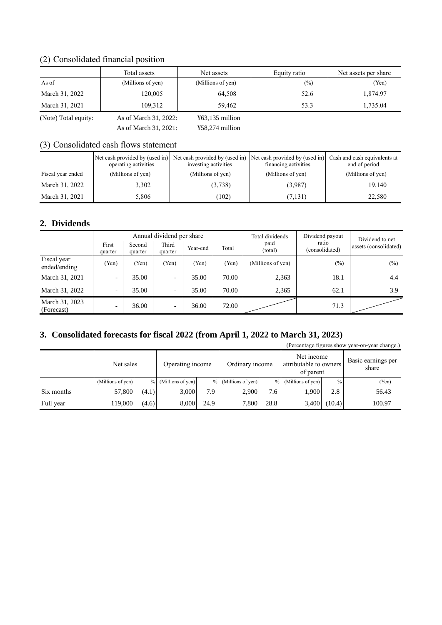## (2) Consolidated financial position

|                      | Total assets          | Net assets                       | Equity ratio  | Net assets per share |
|----------------------|-----------------------|----------------------------------|---------------|----------------------|
| As of                | (Millions of yen)     | (Millions of yen)                | $\frac{1}{2}$ | (Yen)                |
| March 31, 2022       | 120,005               | 64.508                           | 52.6          | 1.874.97             |
| March 31, 2021       | 109.312               | 59.462                           | 53.3          | 1,735.04             |
| (Note) Total equity: | As of March 31, 2022: | $\text{\textless}63,135$ million |               |                      |

As of March 31, 2021: ¥58,274 million

## (3) Consolidated cash flows statement

|                   | operating activities | Net cash provided by (used in) Net cash provided by (used in) Net cash provided by (used in)<br>investing activities | financing activities | Cash and cash equivalents at<br>end of period |
|-------------------|----------------------|----------------------------------------------------------------------------------------------------------------------|----------------------|-----------------------------------------------|
| Fiscal year ended | (Millions of yen)    | (Millions of yen)                                                                                                    | (Millions of yen)    | (Millions of yen)                             |
| March 31, 2022    | 3.302                | (3,738)                                                                                                              | (3,987)              | 19.140                                        |
| March 31, 2021    | 5,806                | (102)                                                                                                                | (7, 131)             | 22,580                                        |

## **2. Dividends**

|                              |                          |                   | Annual dividend per share |          |       | Total dividends   | Dividend payout         | Dividend to net<br>assets (consolidated) |
|------------------------------|--------------------------|-------------------|---------------------------|----------|-------|-------------------|-------------------------|------------------------------------------|
|                              | First<br>quarter         | Second<br>quarter | Third<br>quarter          | Year-end | Total | paid<br>(total)   | ratio<br>(consolidated) |                                          |
| Fiscal year<br>ended/ending  | (Yen)                    | (Yen)             | (Yen)                     | (Yen)    | (Yen) | (Millions of yen) | $(\%)$                  | $(\%)$                                   |
| March 31, 2021               | -                        | 35.00             | $\overline{\phantom{0}}$  | 35.00    | 70.00 | 2,363             | 18.1                    | 4.4                                      |
| March 31, 2022               | $\overline{\phantom{0}}$ | 35.00             | $\overline{\phantom{0}}$  | 35.00    | 70.00 | 2,365             | 62.1                    | 3.9                                      |
| March 31, 2023<br>(Forecast) | $\overline{\phantom{0}}$ | 36.00             | $\overline{\phantom{0}}$  | 36.00    | 72.00 |                   | 71.3                    |                                          |

## **3. Consolidated forecasts for fiscal 2022 (from April 1, 2022 to March 31, 2023)**

|            |                   |       |                   |      |                     |      |                                                   |        | (Felcentage ligures show year-on-year change.) |
|------------|-------------------|-------|-------------------|------|---------------------|------|---------------------------------------------------|--------|------------------------------------------------|
|            | Net sales         |       | Operating income  |      | Ordinary income     |      | Net income<br>attributable to owners<br>of parent |        | Basic earnings per<br>share                    |
|            | (Millions of yen) | $\%$  | (Millions of yen) |      | % (Millions of yen) | $\%$ | (Millions of yen)                                 | $\%$   | (Yen)                                          |
| Six months | 57,800            | (4.1) | 3,000             | 7.9  | 2.900               | 7.6  | 1.900                                             | 2.8    | 56.43                                          |
| Full year  | 119,000           | (4.6) | 8.000             | 24.9 | 7.800               | 28.8 | 3,400                                             | (10.4) | 100.97                                         |

(Percentage figures show year-on-year change.)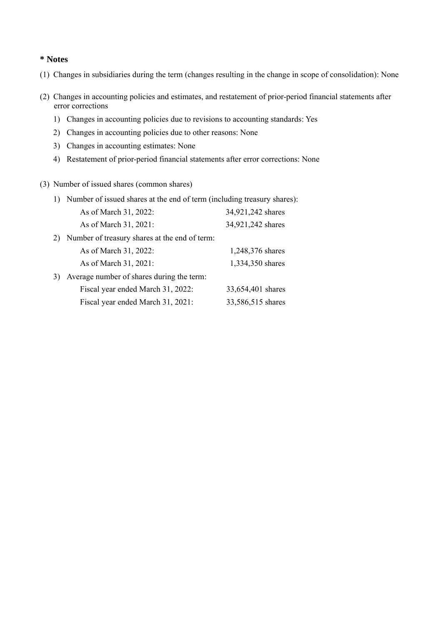### **\* Notes**

- (1) Changes in subsidiaries during the term (changes resulting in the change in scope of consolidation): None
- (2) Changes in accounting policies and estimates, and restatement of prior-period financial statements after error corrections
	- 1) Changes in accounting policies due to revisions to accounting standards: Yes
	- 2) Changes in accounting policies due to other reasons: None
	- 3) Changes in accounting estimates: None
	- 4) Restatement of prior-period financial statements after error corrections: None
- (3) Number of issued shares (common shares)

|    | Number of issued shares at the end of term (including treasury shares): |                   |
|----|-------------------------------------------------------------------------|-------------------|
|    | As of March 31, 2022:                                                   | 34,921,242 shares |
|    | As of March 31, 2021:                                                   | 34,921,242 shares |
| 2) | Number of treasury shares at the end of term:                           |                   |
|    | As of March 31, 2022:                                                   | 1,248,376 shares  |
|    | As of March 31, 2021:                                                   | 1,334,350 shares  |
| 3) | Average number of shares during the term:                               |                   |
|    | Fiscal year ended March 31, 2022:                                       | 33,654,401 shares |
|    | Fiscal year ended March 31, 2021:                                       | 33,586,515 shares |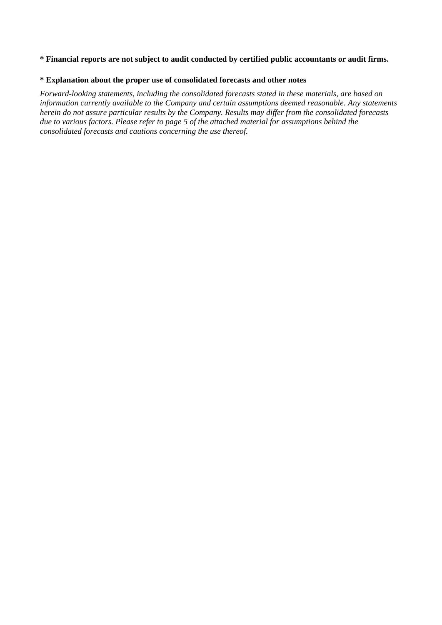#### **\* Financial reports are not subject to audit conducted by certified public accountants or audit firms.**

### **\* Explanation about the proper use of consolidated forecasts and other notes**

*Forward-looking statements, including the consolidated forecasts stated in these materials, are based on information currently available to the Company and certain assumptions deemed reasonable. Any statements herein do not assure particular results by the Company. Results may differ from the consolidated forecasts due to various factors. Please refer to page 5 of the attached material for assumptions behind the consolidated forecasts and cautions concerning the use thereof.*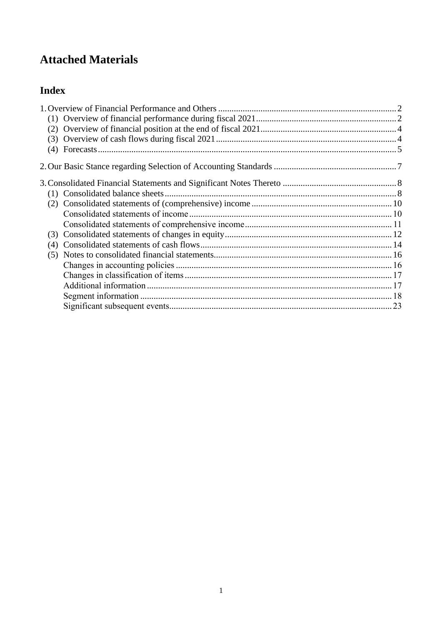# **Attached Materials**

# **Index**

| (4) |  |
|-----|--|
|     |  |
|     |  |
|     |  |
|     |  |
|     |  |
|     |  |
| (3) |  |
| (4) |  |
|     |  |
|     |  |
|     |  |
|     |  |
|     |  |
|     |  |
|     |  |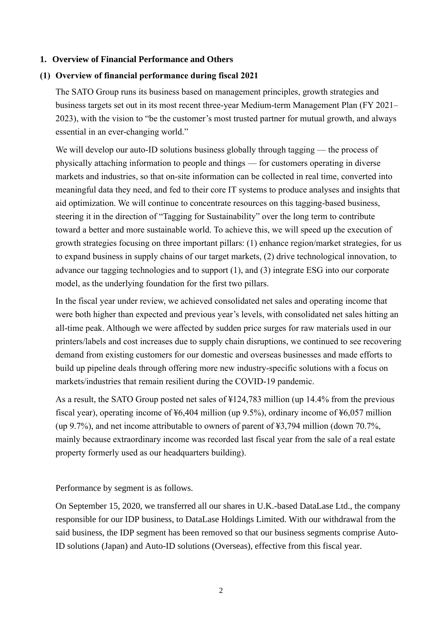### <span id="page-5-0"></span>**1. Overview of Financial Performance and Others**

## <span id="page-5-1"></span>**(1) Overview of financial performance during fiscal 2021**

The SATO Group runs its business based on management principles, growth strategies and business targets set out in its most recent three-year Medium-term Management Plan (FY 2021– 2023), with the vision to "be the customer's most trusted partner for mutual growth, and always essential in an ever-changing world."

We will develop our auto-ID solutions business globally through tagging — the process of physically attaching information to people and things — for customers operating in diverse markets and industries, so that on-site information can be collected in real time, converted into meaningful data they need, and fed to their core IT systems to produce analyses and insights that aid optimization. We will continue to concentrate resources on this tagging-based business, steering it in the direction of "Tagging for Sustainability" over the long term to contribute toward a better and more sustainable world. To achieve this, we will speed up the execution of growth strategies focusing on three important pillars: (1) enhance region/market strategies, for us to expand business in supply chains of our target markets, (2) drive technological innovation, to advance our tagging technologies and to support (1), and (3) integrate ESG into our corporate model, as the underlying foundation for the first two pillars.

In the fiscal year under review, we achieved consolidated net sales and operating income that were both higher than expected and previous year's levels, with consolidated net sales hitting an all-time peak. Although we were affected by sudden price surges for raw materials used in our printers/labels and cost increases due to supply chain disruptions, we continued to see recovering demand from existing customers for our domestic and overseas businesses and made efforts to build up pipeline deals through offering more new industry-specific solutions with a focus on markets/industries that remain resilient during the COVID-19 pandemic.

As a result, the SATO Group posted net sales of ¥124,783 million (up 14.4% from the previous fiscal year), operating income of ¥6,404 million (up 9.5%), ordinary income of ¥6,057 million (up 9.7%), and net income attributable to owners of parent of ¥3,794 million (down 70.7%, mainly because extraordinary income was recorded last fiscal year from the sale of a real estate property formerly used as our headquarters building).

Performance by segment is as follows.

On September 15, 2020, we transferred all our shares in U.K.-based DataLase Ltd., the company responsible for our IDP business, to DataLase Holdings Limited. With our withdrawal from the said business, the IDP segment has been removed so that our business segments comprise Auto-ID solutions (Japan) and Auto-ID solutions (Overseas), effective from this fiscal year.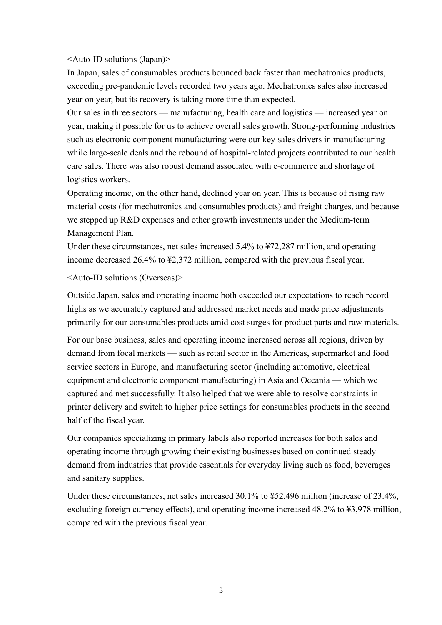#### <Auto-ID solutions (Japan)>

In Japan, sales of consumables products bounced back faster than mechatronics products, exceeding pre-pandemic levels recorded two years ago. Mechatronics sales also increased year on year, but its recovery is taking more time than expected.

Our sales in three sectors — manufacturing, health care and logistics — increased year on year, making it possible for us to achieve overall sales growth. Strong-performing industries such as electronic component manufacturing were our key sales drivers in manufacturing while large-scale deals and the rebound of hospital-related projects contributed to our health care sales. There was also robust demand associated with e-commerce and shortage of logistics workers.

Operating income, on the other hand, declined year on year. This is because of rising raw material costs (for mechatronics and consumables products) and freight charges, and because we stepped up R&D expenses and other growth investments under the Medium-term Management Plan.

Under these circumstances, net sales increased 5.4% to ¥72,287 million, and operating income decreased 26.4% to ¥2,372 million, compared with the previous fiscal year.

### <Auto-ID solutions (Overseas)>

Outside Japan, sales and operating income both exceeded our expectations to reach record highs as we accurately captured and addressed market needs and made price adjustments primarily for our consumables products amid cost surges for product parts and raw materials.

For our base business, sales and operating income increased across all regions, driven by demand from focal markets — such as retail sector in the Americas, supermarket and food service sectors in Europe, and manufacturing sector (including automotive, electrical equipment and electronic component manufacturing) in Asia and Oceania — which we captured and met successfully. It also helped that we were able to resolve constraints in printer delivery and switch to higher price settings for consumables products in the second half of the fiscal year.

Our companies specializing in primary labels also reported increases for both sales and operating income through growing their existing businesses based on continued steady demand from industries that provide essentials for everyday living such as food, beverages and sanitary supplies.

Under these circumstances, net sales increased 30.1% to ¥52,496 million (increase of 23.4%, excluding foreign currency effects), and operating income increased 48.2% to ¥3,978 million, compared with the previous fiscal year.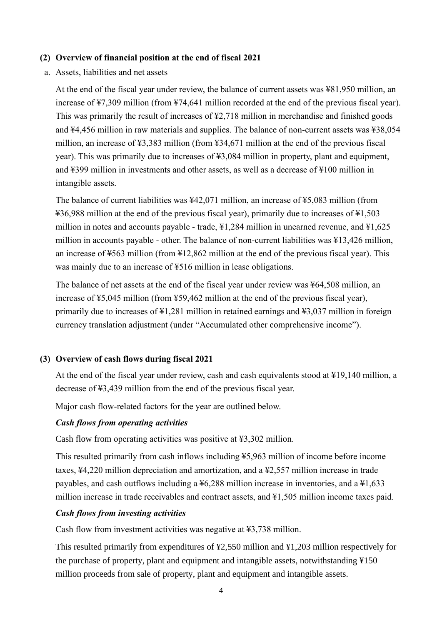### <span id="page-7-0"></span>**(2) Overview of financial position at the end of fiscal 2021**

a. Assets, liabilities and net assets

At the end of the fiscal year under review, the balance of current assets was ¥81,950 million, an increase of ¥7,309 million (from ¥74,641 million recorded at the end of the previous fiscal year). This was primarily the result of increases of ¥2,718 million in merchandise and finished goods and ¥4,456 million in raw materials and supplies. The balance of non-current assets was ¥38,054 million, an increase of ¥3,383 million (from ¥34,671 million at the end of the previous fiscal year). This was primarily due to increases of ¥3,084 million in property, plant and equipment, and ¥399 million in investments and other assets, as well as a decrease of ¥100 million in intangible assets.

The balance of current liabilities was ¥42,071 million, an increase of ¥5,083 million (from ¥36,988 million at the end of the previous fiscal year), primarily due to increases of ¥1,503 million in notes and accounts payable - trade, ¥1,284 million in unearned revenue, and ¥1,625 million in accounts payable - other. The balance of non-current liabilities was ¥13,426 million, an increase of ¥563 million (from ¥12,862 million at the end of the previous fiscal year). This was mainly due to an increase of ¥516 million in lease obligations.

The balance of net assets at the end of the fiscal year under review was ¥64,508 million, an increase of ¥5,045 million (from ¥59,462 million at the end of the previous fiscal year), primarily due to increases of ¥1,281 million in retained earnings and ¥3,037 million in foreign currency translation adjustment (under "Accumulated other comprehensive income").

#### <span id="page-7-1"></span>**(3) Overview of cash flows during fiscal 2021**

At the end of the fiscal year under review, cash and cash equivalents stood at ¥19,140 million, a decrease of ¥3,439 million from the end of the previous fiscal year.

Major cash flow-related factors for the year are outlined below.

#### *Cash flows from operating activities*

Cash flow from operating activities was positive at ¥3,302 million.

This resulted primarily from cash inflows including ¥5,963 million of income before income taxes, ¥4,220 million depreciation and amortization, and a ¥2,557 million increase in trade payables, and cash outflows including a ¥6,288 million increase in inventories, and a ¥1,633 million increase in trade receivables and contract assets, and ¥1,505 million income taxes paid.

### *Cash flows from investing activities*

Cash flow from investment activities was negative at ¥3,738 million.

This resulted primarily from expenditures of ¥2,550 million and ¥1,203 million respectively for the purchase of property, plant and equipment and intangible assets, notwithstanding ¥150 million proceeds from sale of property, plant and equipment and intangible assets.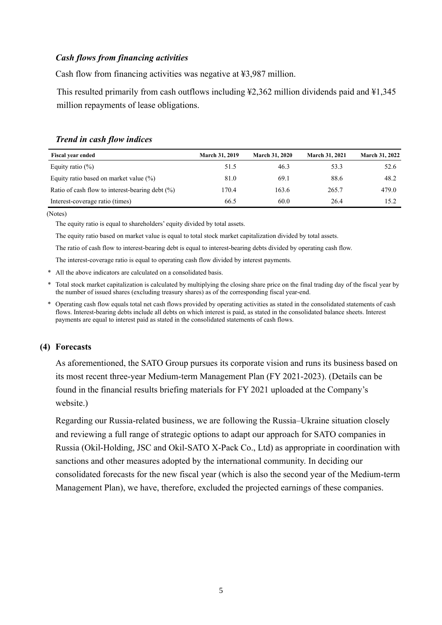### *Cash flows from financing activities*

Cash flow from financing activities was negative at ¥3,987 million.

This resulted primarily from cash outflows including ¥2,362 million dividends paid and ¥1,345 million repayments of lease obligations.

| <b>Fiscal year ended</b>                        | <b>March 31, 2019</b> | <b>March 31, 2020</b> | <b>March 31, 2021</b> | <b>March 31, 2022</b> |
|-------------------------------------------------|-----------------------|-----------------------|-----------------------|-----------------------|
| Equity ratio $(\%)$                             | 51.5                  | 46.3                  | 53.3                  | 52.6                  |
| Equity ratio based on market value $(\%)$       | 81.0                  | 69.1                  | 88.6                  | 48.2                  |
| Ratio of cash flow to interest-bearing debt (%) | 170.4                 | 163.6                 | 265.7                 | 479.0                 |
| Interest-coverage ratio (times)                 | 66.5                  | 60.0                  | 26.4                  | 15.2                  |

### *Trend in cash flow indices*

(Notes)

The equity ratio is equal to shareholders' equity divided by total assets.

The equity ratio based on market value is equal to total stock market capitalization divided by total assets.

The ratio of cash flow to interest-bearing debt is equal to interest-bearing debts divided by operating cash flow.

The interest-coverage ratio is equal to operating cash flow divided by interest payments.

\* All the above indicators are calculated on a consolidated basis.

\* Total stock market capitalization is calculated by multiplying the closing share price on the final trading day of the fiscal year by the number of issued shares (excluding treasury shares) as of the corresponding fiscal year-end.

\* Operating cash flow equals total net cash flows provided by operating activities as stated in the consolidated statements of cash flows. Interest-bearing debts include all debts on which interest is paid, as stated in the consolidated balance sheets. Interest payments are equal to interest paid as stated in the consolidated statements of cash flows.

## <span id="page-8-0"></span>**(4) Forecasts**

As aforementioned, the SATO Group pursues its corporate vision and runs its business based on its most recent three-year Medium-term Management Plan (FY 2021-2023). (Details can be found in the financial results briefing materials for FY 2021 uploaded at the Company's website.)

Regarding our Russia-related business, we are following the Russia–Ukraine situation closely and reviewing a full range of strategic options to adapt our approach for SATO companies in Russia (Okil-Holding, JSC and Okil-SATO X-Pack Co., Ltd) as appropriate in coordination with sanctions and other measures adopted by the international community. In deciding our consolidated forecasts for the new fiscal year (which is also the second year of the Medium-term Management Plan), we have, therefore, excluded the projected earnings of these companies.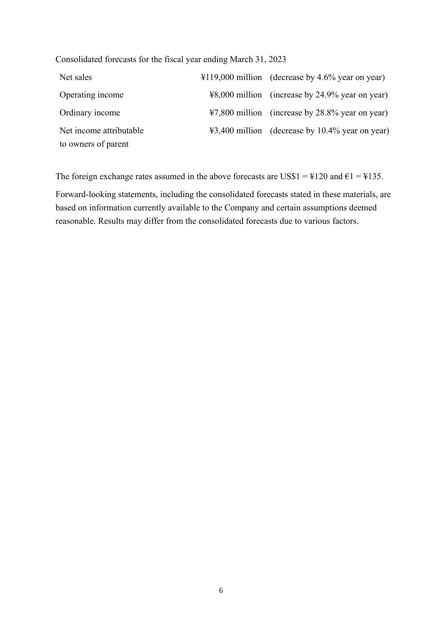Consolidated forecasts for the fiscal year ending March 31, 2023

| Net sales               | $\text{\#119,000}$ million (decrease by 4.6% year on year) |
|-------------------------|------------------------------------------------------------|
| Operating income        | ¥8,000 million (increase by 24.9% year on year)            |
| Ordinary income         | ¥7,800 million (increase by 28.8% year on year)            |
| Net income attributable | ¥3,400 million (decrease by 10.4% year on year)            |
| to owners of parent     |                                                            |

The foreign exchange rates assumed in the above forecasts are US\$1 =  $\text{\textsterling}120$  and  $\text{\textsterling}1 = \text{\textsterling}135$ .

Forward-looking statements, including the consolidated forecasts stated in these materials, are based on information currently available to the Company and certain assumptions deemed reasonable. Results may differ from the consolidated forecasts due to various factors.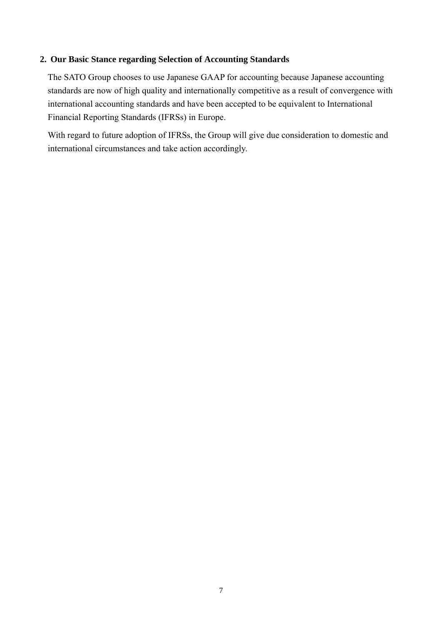### <span id="page-10-0"></span>**2. Our Basic Stance regarding Selection of Accounting Standards**

The SATO Group chooses to use Japanese GAAP for accounting because Japanese accounting standards are now of high quality and internationally competitive as a result of convergence with international accounting standards and have been accepted to be equivalent to International Financial Reporting Standards (IFRSs) in Europe.

With regard to future adoption of IFRSs, the Group will give due consideration to domestic and international circumstances and take action accordingly.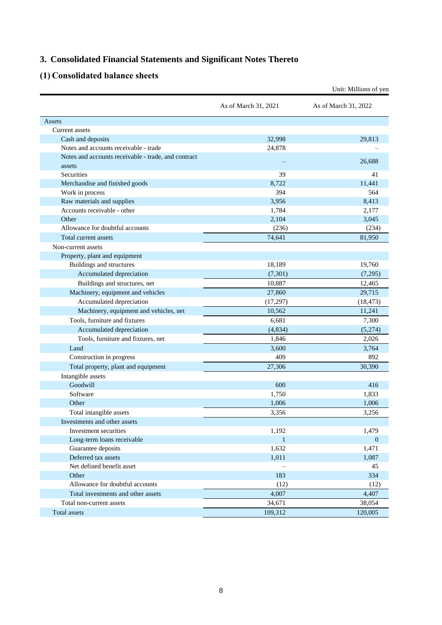# <span id="page-11-0"></span>**3. Consolidated Financial Statements and Significant Notes Thereto**

# <span id="page-11-1"></span>**(1) Consolidated balance sheets**

|                                                               |                      | Unit: Millions of yen |
|---------------------------------------------------------------|----------------------|-----------------------|
|                                                               | As of March 31, 2021 | As of March 31, 2022  |
| Assets                                                        |                      |                       |
| Current assets                                                |                      |                       |
| Cash and deposits                                             | 32.998               | 29,813                |
| Notes and accounts receivable - trade                         | 24,878               |                       |
| Notes and accounts receivable - trade, and contract<br>assets |                      | 26,688                |
| Securities                                                    | 39                   | 41                    |
| Merchandise and finished goods                                | 8.722                | 11,441                |
| Work in process                                               | 394                  | 564                   |
| Raw materials and supplies                                    | 3,956                | 8,413                 |
| Accounts receivable - other                                   | 1,784                | 2,177                 |
| Other                                                         | 2,104                | 3,045                 |
| Allowance for doubtful accounts                               | (236)                | (234)                 |
| Total current assets                                          | 74,641               | 81,950                |
| Non-current assets                                            |                      |                       |
| Property, plant and equipment                                 |                      |                       |
| Buildings and structures                                      | 18,189               | 19,760                |
| Accumulated depreciation                                      | (7, 301)             | (7,295)               |
| Buildings and structures, net                                 | 10,887               | 12,465                |
| Machinery, equipment and vehicles                             | 27,860               | 29,715                |
| Accumulated depreciation                                      | (17, 297)            | (18, 473)             |
| Machinery, equipment and vehicles, net                        | 10,562               | 11,241                |
| Tools, furniture and fixtures                                 | 6,681                | 7,300                 |
| Accumulated depreciation                                      | (4,834)              | (5,274)               |
| Tools, furniture and fixtures, net                            | 1,846                | 2,026                 |
| Land                                                          | 3,600                | 3,764                 |
| Construction in progress                                      | 409                  | 892                   |
| Total property, plant and equipment                           | 27,306               | 30,390                |
| Intangible assets                                             |                      |                       |
| Goodwill                                                      | 600                  | 416                   |
| Software                                                      | 1,750                | 1,833                 |
| Other                                                         | 1,006                | 1,006                 |
| Total intangible assets                                       | 3,356                | 3,256                 |
| Investments and other assets                                  |                      |                       |
| Investment securities                                         | 1,192                | 1,479                 |
| Long-term loans receivable                                    | $\,1\,$              | $\mathbf{0}$          |
| Guarantee deposits                                            | 1,632                | 1,471                 |
| Deferred tax assets                                           | 1,011                | 1,087                 |
| Net defined benefit asset                                     |                      | 45                    |
| Other                                                         | 183                  | 334                   |
| Allowance for doubtful accounts                               | (12)                 | (12)                  |
| Total investments and other assets                            | 4,007                | 4,407                 |
| Total non-current assets                                      | 34,671               | 38,054                |
| Total assets                                                  | 109,312              | 120,005               |
|                                                               |                      |                       |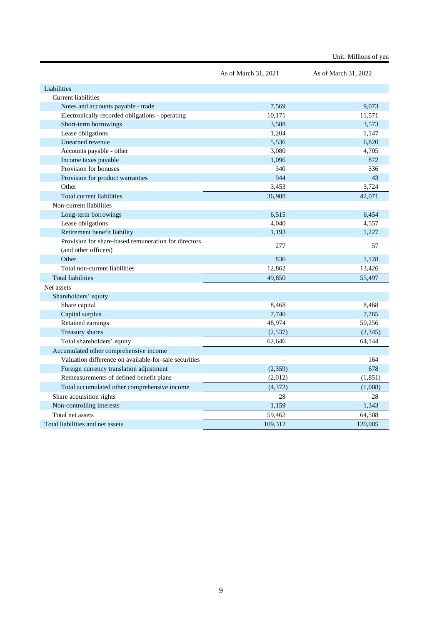|                                                       | As of March 31, 2021 | As of March 31, 2022 |
|-------------------------------------------------------|----------------------|----------------------|
| Liabilities                                           |                      |                      |
| <b>Current liabilities</b>                            |                      |                      |
| Notes and accounts payable - trade                    | 7,569                | 9,073                |
| Electronically recorded obligations - operating       | 10,171               | 11,571               |
| Short-term borrowings                                 | 3.588                | 3.573                |
| Lease obligations                                     | 1,204                | 1,147                |
| Unearned revenue                                      | 5,536                | 6,820                |
| Accounts payable - other                              | 3,080                | 4,705                |
| Income taxes payable                                  | 1,096                | 872                  |
| Provision for bonuses                                 | 340                  | 536                  |
| Provision for product warranties                      | 944                  | 43                   |
| Other                                                 | 3,453                | 3,724                |
| Total current liabilities                             | 36,988               | 42,071               |
| Non-current liabilities                               |                      |                      |
| Long-term borrowings                                  | 6,515                | 6,454                |
| Lease obligations                                     | 4,040                | 4,557                |
| Retirement benefit liability                          | 1,193                | 1,227                |
| Provision for share-based remuneration for directors  | 277                  | 57                   |
| (and other officers)                                  |                      |                      |
| Other                                                 | 836                  | 1,128                |
| Total non-current liabilities                         | 12,862               | 13,426               |
| <b>Total liabilities</b>                              | 49,850               | 55,497               |
| Net assets                                            |                      |                      |
| Shareholders' equity                                  |                      |                      |
| Share capital                                         | 8,468                | 8,468                |
| Capital surplus                                       | 7.740                | 7.765                |
| Retained earnings                                     | 48,974               | 50,256               |
| Treasury shares                                       | (2,537)              | (2, 345)             |
| Total shareholders' equity                            | 62,646               | 64,144               |
| Accumulated other comprehensive income                |                      |                      |
| Valuation difference on available-for-sale securities |                      | 164                  |
| Foreign currency translation adjustment               | (2,359)              | 678                  |
| Remeasurements of defined benefit plans               | (2,012)              | (1, 851)             |
| Total accumulated other comprehensive income          | (4,372)              | (1,008)              |
| Share acquisition rights                              | 28                   | 28                   |
| Non-controlling interests                             | 1,159                | 1,343                |
| Total net assets                                      | 59,462               | 64,508               |
| Total liabilities and net assets                      | 109,312              | 120,005              |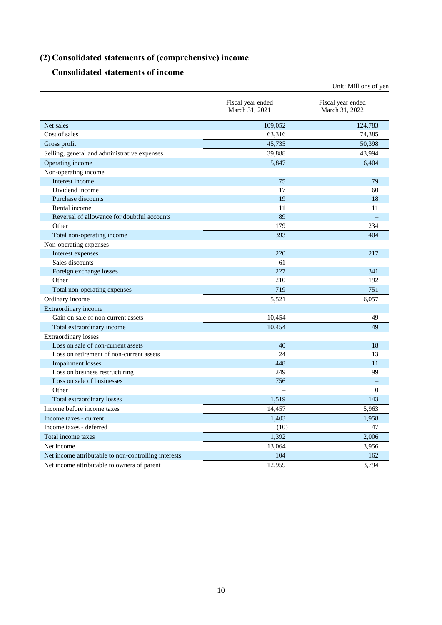# <span id="page-13-0"></span>**(2) Consolidated statements of (comprehensive) income**

# **Consolidated statements of income**

<span id="page-13-1"></span>

|                                                      |                                     | Unit: Millions of yen               |
|------------------------------------------------------|-------------------------------------|-------------------------------------|
|                                                      | Fiscal year ended<br>March 31, 2021 | Fiscal year ended<br>March 31, 2022 |
| Net sales                                            | 109,052                             | 124,783                             |
| Cost of sales                                        | 63,316                              | 74,385                              |
| Gross profit                                         | 45,735                              | 50,398                              |
| Selling, general and administrative expenses         | 39,888                              | 43,994                              |
| Operating income                                     | 5,847                               | 6,404                               |
| Non-operating income                                 |                                     |                                     |
| Interest income                                      | 75                                  | 79                                  |
| Dividend income                                      | 17                                  | 60                                  |
| Purchase discounts                                   | 19                                  | 18                                  |
| Rental income                                        | 11                                  | 11                                  |
| Reversal of allowance for doubtful accounts          | 89                                  |                                     |
| Other                                                | 179                                 | 234                                 |
| Total non-operating income                           | 393                                 | 404                                 |
| Non-operating expenses                               |                                     |                                     |
| Interest expenses                                    | 220                                 | 217                                 |
| Sales discounts                                      | 61                                  |                                     |
| Foreign exchange losses                              | 227                                 | 341                                 |
| Other                                                | 210                                 | 192                                 |
| Total non-operating expenses                         | 719                                 | 751                                 |
| Ordinary income                                      | 5,521                               | 6,057                               |
| Extraordinary income                                 |                                     |                                     |
| Gain on sale of non-current assets                   | 10,454                              | 49                                  |
| Total extraordinary income                           | 10,454                              | 49                                  |
| <b>Extraordinary losses</b>                          |                                     |                                     |
| Loss on sale of non-current assets                   | 40                                  | 18                                  |
| Loss on retirement of non-current assets             | 24                                  | 13                                  |
| <b>Impairment</b> losses                             | 448                                 | 11                                  |
| Loss on business restructuring                       | 249                                 | 99                                  |
| Loss on sale of businesses                           | 756                                 |                                     |
| Other                                                |                                     | $\mathbf{0}$                        |
| Total extraordinary losses                           | 1,519                               | 143                                 |
| Income before income taxes                           | 14,457                              | 5,963                               |
| Income taxes - current                               | 1,403                               | 1,958                               |
| Income taxes - deferred                              | (10)                                | 47                                  |
| Total income taxes                                   | 1,392                               | 2,006                               |
| Net income                                           | 13,064                              | 3,956                               |
| Net income attributable to non-controlling interests | 104                                 | 162                                 |
| Net income attributable to owners of parent          | 12,959                              | 3,794                               |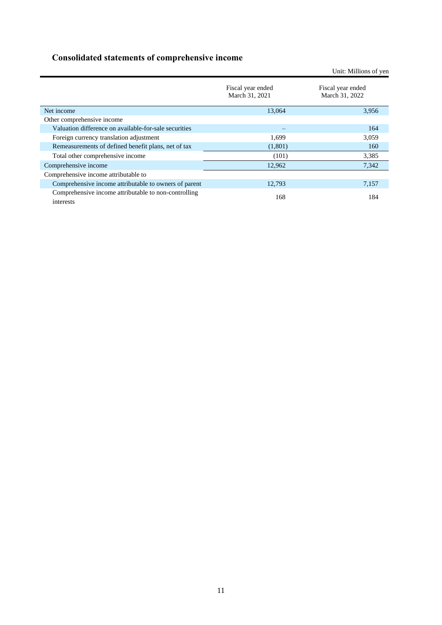# <span id="page-14-0"></span>**Consolidated statements of comprehensive income**

|                                                                   |                                     | Unit: Millions of yen               |
|-------------------------------------------------------------------|-------------------------------------|-------------------------------------|
|                                                                   | Fiscal year ended<br>March 31, 2021 | Fiscal year ended<br>March 31, 2022 |
| Net income                                                        | 13,064                              | 3,956                               |
| Other comprehensive income                                        |                                     |                                     |
| Valuation difference on available-for-sale securities             |                                     | 164                                 |
| Foreign currency translation adjustment                           | 1.699                               | 3,059                               |
| Remeasurements of defined benefit plans, net of tax               | (1,801)                             | 160                                 |
| Total other comprehensive income                                  | (101)                               | 3,385                               |
| Comprehensive income                                              | 12,962                              | 7,342                               |
| Comprehensive income attributable to                              |                                     |                                     |
| Comprehensive income attributable to owners of parent             | 12,793                              | 7,157                               |
| Comprehensive income attributable to non-controlling<br>interests | 168                                 | 184                                 |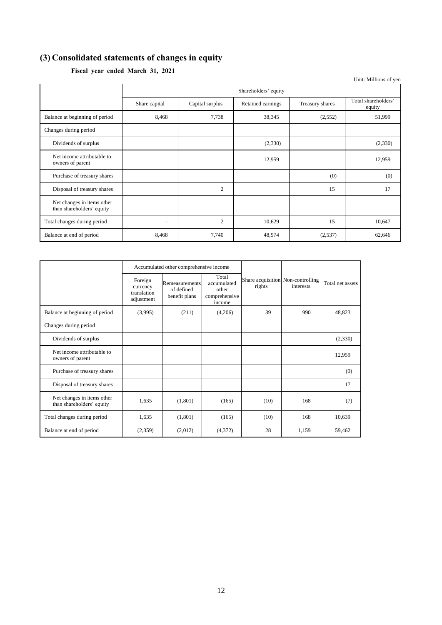# <span id="page-15-0"></span>**(3) Consolidated statements of changes in equity**

|  | Fiscal year ended March 31, 2021 |  |  |  |
|--|----------------------------------|--|--|--|
|--|----------------------------------|--|--|--|

|                                                         |                          |                      |                   |                 | Unit: Millions of yen         |  |  |
|---------------------------------------------------------|--------------------------|----------------------|-------------------|-----------------|-------------------------------|--|--|
|                                                         |                          | Shareholders' equity |                   |                 |                               |  |  |
|                                                         | Share capital            | Capital surplus      | Retained earnings | Treasury shares | Total shareholders'<br>equity |  |  |
| Balance at beginning of period                          | 8,468                    | 7,738                | 38,345            | (2,552)         | 51,999                        |  |  |
| Changes during period                                   |                          |                      |                   |                 |                               |  |  |
| Dividends of surplus                                    |                          |                      | (2,330)           |                 | (2,330)                       |  |  |
| Net income attributable to<br>owners of parent          |                          |                      | 12,959            |                 | 12,959                        |  |  |
| Purchase of treasury shares                             |                          |                      |                   | (0)             | (0)                           |  |  |
| Disposal of treasury shares                             |                          | $\overline{2}$       |                   | 15              | 17                            |  |  |
| Net changes in items other<br>than shareholders' equity |                          |                      |                   |                 |                               |  |  |
| Total changes during period                             | $\overline{\phantom{0}}$ | $\overline{2}$       | 10,629            | 15              | 10,647                        |  |  |
| Balance at end of period                                | 8,468                    | 7,740                | 48,974            | (2,537)         | 62,646                        |  |  |

|                                                         | Accumulated other comprehensive income           |                                               |                                                          |                                             |           |                  |
|---------------------------------------------------------|--------------------------------------------------|-----------------------------------------------|----------------------------------------------------------|---------------------------------------------|-----------|------------------|
|                                                         | Foreign<br>currency<br>translation<br>adjustment | Remeasurements<br>of defined<br>benefit plans | Total<br>accumulated<br>other<br>comprehensive<br>income | Share acquisition Non-controlling<br>rights | interests | Total net assets |
| Balance at beginning of period                          | (3,995)                                          | (211)                                         | (4,206)                                                  | 39                                          | 990       | 48,823           |
| Changes during period                                   |                                                  |                                               |                                                          |                                             |           |                  |
| Dividends of surplus                                    |                                                  |                                               |                                                          |                                             |           | (2,330)          |
| Net income attributable to<br>owners of parent          |                                                  |                                               |                                                          |                                             |           | 12,959           |
| Purchase of treasury shares                             |                                                  |                                               |                                                          |                                             |           | (0)              |
| Disposal of treasury shares                             |                                                  |                                               |                                                          |                                             |           | 17               |
| Net changes in items other<br>than shareholders' equity | 1,635                                            | (1,801)                                       | (165)                                                    | (10)                                        | 168       | (7)              |
| Total changes during period                             | 1,635                                            | (1,801)                                       | (165)                                                    | (10)                                        | 168       | 10,639           |
| Balance at end of period                                | (2,359)                                          | (2,012)                                       | (4,372)                                                  | 28                                          | 1,159     | 59,462           |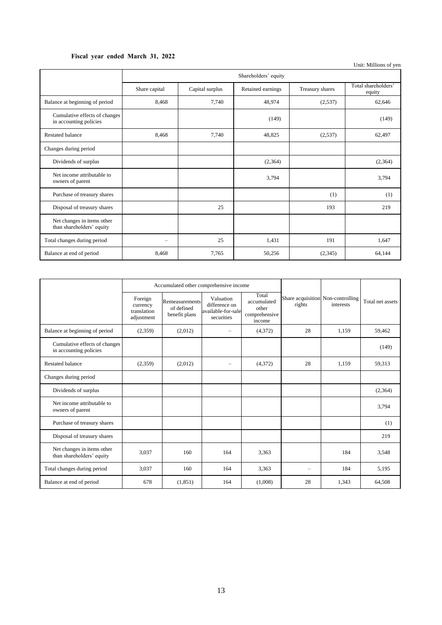## **Fiscal year ended March 31, 2022**

|                                                         | Shareholders' equity     |                 |                   |                 |                               |  |
|---------------------------------------------------------|--------------------------|-----------------|-------------------|-----------------|-------------------------------|--|
|                                                         | Share capital            | Capital surplus | Retained earnings | Treasury shares | Total shareholders'<br>equity |  |
| Balance at beginning of period                          | 8,468                    | 7,740           | 48,974            | (2,537)         | 62,646                        |  |
| Cumulative effects of changes<br>in accounting policies |                          |                 | (149)             |                 | (149)                         |  |
| Restated balance                                        | 8,468                    | 7,740           | 48,825            | (2,537)         | 62,497                        |  |
| Changes during period                                   |                          |                 |                   |                 |                               |  |
| Dividends of surplus                                    |                          |                 | (2,364)           |                 | (2,364)                       |  |
| Net income attributable to<br>owners of parent          |                          |                 | 3,794             |                 | 3,794                         |  |
| Purchase of treasury shares                             |                          |                 |                   | (1)             | (1)                           |  |
| Disposal of treasury shares                             |                          | 25              |                   | 193             | 219                           |  |
| Net changes in items other<br>than shareholders' equity |                          |                 |                   |                 |                               |  |
| Total changes during period                             | $\overline{\phantom{0}}$ | 25              | 1,431             | 191             | 1,647                         |  |
| Balance at end of period                                | 8,468                    | 7.765           | 50,256            | (2,345)         | 64,144                        |  |

|                                                         | Accumulated other comprehensive income           |                                               |                                                                |                                                          |        |                                                |                  |
|---------------------------------------------------------|--------------------------------------------------|-----------------------------------------------|----------------------------------------------------------------|----------------------------------------------------------|--------|------------------------------------------------|------------------|
|                                                         | Foreign<br>currency<br>translation<br>adjustment | Remeasurements<br>of defined<br>benefit plans | Valuation<br>difference on<br>available-for-sale<br>securities | Total<br>accumulated<br>other<br>comprehensive<br>income | rights | Share acquisition Non-controlling<br>interests | Total net assets |
| Balance at beginning of period                          | (2,359)                                          | (2,012)                                       | $\equiv$                                                       | (4,372)                                                  | 28     | 1.159                                          | 59,462           |
| Cumulative effects of changes<br>in accounting policies |                                                  |                                               |                                                                |                                                          |        |                                                | (149)            |
| Restated balance                                        | (2,359)                                          | (2,012)                                       | -                                                              | (4,372)                                                  | 28     | 1.159                                          | 59,313           |
| Changes during period                                   |                                                  |                                               |                                                                |                                                          |        |                                                |                  |
| Dividends of surplus                                    |                                                  |                                               |                                                                |                                                          |        |                                                | (2,364)          |
| Net income attributable to<br>owners of parent          |                                                  |                                               |                                                                |                                                          |        |                                                | 3,794            |
| Purchase of treasury shares                             |                                                  |                                               |                                                                |                                                          |        |                                                | (1)              |
| Disposal of treasury shares                             |                                                  |                                               |                                                                |                                                          |        |                                                | 219              |
| Net changes in items other<br>than shareholders' equity | 3.037                                            | 160                                           | 164                                                            | 3,363                                                    |        | 184                                            | 3,548            |
| Total changes during period                             | 3,037                                            | 160                                           | 164                                                            | 3,363                                                    |        | 184                                            | 5,195            |
| Balance at end of period                                | 678                                              | (1,851)                                       | 164                                                            | (1,008)                                                  | 28     | 1.343                                          | 64,508           |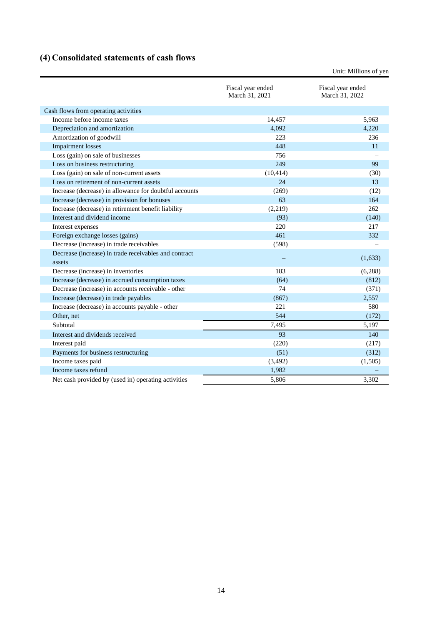# <span id="page-17-0"></span>**(4) Consolidated statements of cash flows**

|                                                        | Fiscal year ended<br>March 31, 2021 | Fiscal year ended<br>March 31, 2022 |
|--------------------------------------------------------|-------------------------------------|-------------------------------------|
| Cash flows from operating activities                   |                                     |                                     |
| Income before income taxes                             | 14,457                              | 5,963                               |
| Depreciation and amortization                          | 4,092                               | 4,220                               |
| Amortization of goodwill                               | 223                                 | 236                                 |
| <b>Impairment</b> losses                               | 448                                 | 11                                  |
| Loss (gain) on sale of businesses                      | 756                                 |                                     |
| Loss on business restructuring                         | 249                                 | 99                                  |
| Loss (gain) on sale of non-current assets              | (10, 414)                           | (30)                                |
| Loss on retirement of non-current assets               | 24                                  | 13                                  |
| Increase (decrease) in allowance for doubtful accounts | (269)                               | (12)                                |
| Increase (decrease) in provision for bonuses           | 63                                  | 164                                 |
| Increase (decrease) in retirement benefit liability    | (2,219)                             | 262                                 |
| Interest and dividend income                           | (93)                                | (140)                               |
| Interest expenses                                      | 220                                 | 217                                 |
| Foreign exchange losses (gains)                        | 461                                 | 332                                 |
| Decrease (increase) in trade receivables               | (598)                               |                                     |
| Decrease (increase) in trade receivables and contract  |                                     | (1,633)                             |
| assets                                                 |                                     |                                     |
| Decrease (increase) in inventories                     | 183                                 | (6,288)                             |
| Increase (decrease) in accrued consumption taxes       | (64)                                | (812)                               |
| Decrease (increase) in accounts receivable - other     | 74                                  | (371)                               |
| Increase (decrease) in trade payables                  | (867)                               | 2,557                               |
| Increase (decrease) in accounts payable - other        | 221                                 | 580                                 |
| Other, net                                             | 544                                 | (172)                               |
| Subtotal                                               | 7,495                               | 5,197                               |
| Interest and dividends received                        | 93                                  | 140                                 |
| Interest paid                                          | (220)                               | (217)                               |
| Payments for business restructuring                    | (51)                                | (312)                               |
| Income taxes paid                                      | (3,492)                             | (1,505)                             |
| Income taxes refund                                    | 1,982                               |                                     |
| Net cash provided by (used in) operating activities    | 5,806                               | 3,302                               |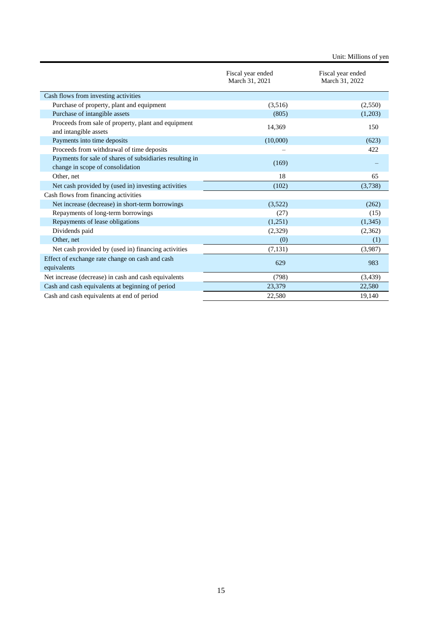|                                                                                              | Fiscal year ended<br>March 31, 2021 | Fiscal year ended<br>March 31, 2022 |
|----------------------------------------------------------------------------------------------|-------------------------------------|-------------------------------------|
| Cash flows from investing activities                                                         |                                     |                                     |
| Purchase of property, plant and equipment                                                    | (3,516)                             | (2,550)                             |
| Purchase of intangible assets                                                                | (805)                               | (1,203)                             |
| Proceeds from sale of property, plant and equipment<br>and intangible assets                 | 14,369                              | 150                                 |
| Payments into time deposits                                                                  | (10,000)                            | (623)                               |
| Proceeds from withdrawal of time deposits                                                    |                                     | 422                                 |
| Payments for sale of shares of subsidiaries resulting in<br>change in scope of consolidation | (169)                               |                                     |
| Other, net                                                                                   | 18                                  | 65                                  |
| Net cash provided by (used in) investing activities                                          | (102)                               | (3,738)                             |
| Cash flows from financing activities                                                         |                                     |                                     |
| Net increase (decrease) in short-term borrowings                                             | (3,522)                             | (262)                               |
| Repayments of long-term borrowings                                                           | (27)                                | (15)                                |
| Repayments of lease obligations                                                              | (1,251)                             | (1,345)                             |
| Dividends paid                                                                               | (2,329)                             | (2,362)                             |
| Other, net                                                                                   | (0)                                 | (1)                                 |
| Net cash provided by (used in) financing activities                                          | (7, 131)                            | (3,987)                             |
| Effect of exchange rate change on cash and cash<br>equivalents                               | 629                                 | 983                                 |
| Net increase (decrease) in cash and cash equivalents                                         | (798)                               | (3,439)                             |
| Cash and cash equivalents at beginning of period                                             | 23,379                              | 22,580                              |
| Cash and cash equivalents at end of period                                                   | 22,580                              | 19.140                              |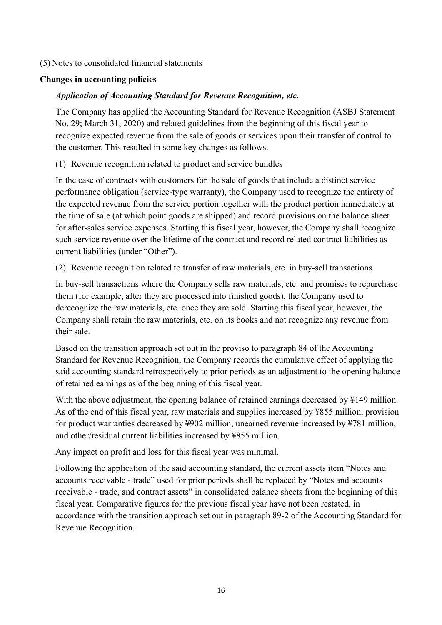## <span id="page-19-0"></span>(5) Notes to consolidated financial statements

## <span id="page-19-1"></span>**Changes in accounting policies**

## *Application of Accounting Standard for Revenue Recognition, etc.*

The Company has applied the Accounting Standard for Revenue Recognition (ASBJ Statement No. 29; March 31, 2020) and related guidelines from the beginning of this fiscal year to recognize expected revenue from the sale of goods or services upon their transfer of control to the customer. This resulted in some key changes as follows.

(1) Revenue recognition related to product and service bundles

In the case of contracts with customers for the sale of goods that include a distinct service performance obligation (service-type warranty), the Company used to recognize the entirety of the expected revenue from the service portion together with the product portion immediately at the time of sale (at which point goods are shipped) and record provisions on the balance sheet for after-sales service expenses. Starting this fiscal year, however, the Company shall recognize such service revenue over the lifetime of the contract and record related contract liabilities as current liabilities (under "Other").

(2) Revenue recognition related to transfer of raw materials, etc. in buy-sell transactions

In buy-sell transactions where the Company sells raw materials, etc. and promises to repurchase them (for example, after they are processed into finished goods), the Company used to derecognize the raw materials, etc. once they are sold. Starting this fiscal year, however, the Company shall retain the raw materials, etc. on its books and not recognize any revenue from their sale.

Based on the transition approach set out in the proviso to paragraph 84 of the Accounting Standard for Revenue Recognition, the Company records the cumulative effect of applying the said accounting standard retrospectively to prior periods as an adjustment to the opening balance of retained earnings as of the beginning of this fiscal year.

With the above adjustment, the opening balance of retained earnings decreased by ¥149 million. As of the end of this fiscal year, raw materials and supplies increased by ¥855 million, provision for product warranties decreased by ¥902 million, unearned revenue increased by ¥781 million, and other/residual current liabilities increased by ¥855 million.

Any impact on profit and loss for this fiscal year was minimal.

Following the application of the said accounting standard, the current assets item "Notes and accounts receivable - trade" used for prior periods shall be replaced by "Notes and accounts receivable - trade, and contract assets" in consolidated balance sheets from the beginning of this fiscal year. Comparative figures for the previous fiscal year have not been restated, in accordance with the transition approach set out in paragraph 89-2 of the Accounting Standard for Revenue Recognition.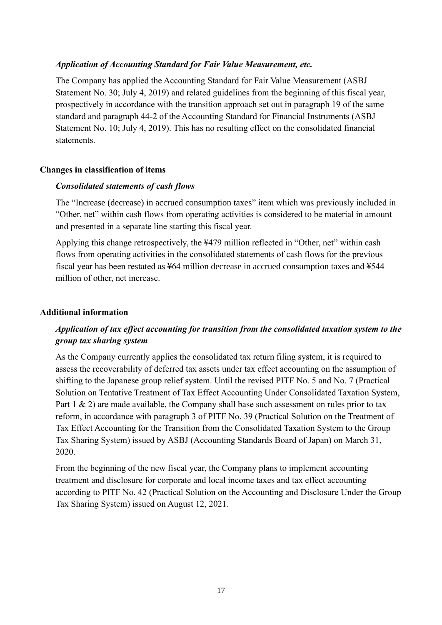### *Application of Accounting Standard for Fair Value Measurement, etc.*

The Company has applied the Accounting Standard for Fair Value Measurement (ASBJ Statement No. 30; July 4, 2019) and related guidelines from the beginning of this fiscal year, prospectively in accordance with the transition approach set out in paragraph 19 of the same standard and paragraph 44-2 of the Accounting Standard for Financial Instruments (ASBJ Statement No. 10; July 4, 2019). This has no resulting effect on the consolidated financial statements.

### <span id="page-20-0"></span>**Changes in classification of items**

## *Consolidated statements of cash flows*

The "Increase (decrease) in accrued consumption taxes" item which was previously included in "Other, net" within cash flows from operating activities is considered to be material in amount and presented in a separate line starting this fiscal year.

Applying this change retrospectively, the ¥479 million reflected in "Other, net" within cash flows from operating activities in the consolidated statements of cash flows for the previous fiscal year has been restated as ¥64 million decrease in accrued consumption taxes and ¥544 million of other, net increase.

### <span id="page-20-1"></span>**Additional information**

## *Application of tax effect accounting for transition from the consolidated taxation system to the group tax sharing system*

As the Company currently applies the consolidated tax return filing system, it is required to assess the recoverability of deferred tax assets under tax effect accounting on the assumption of shifting to the Japanese group relief system. Until the revised PITF No. 5 and No. 7 (Practical Solution on Tentative Treatment of Tax Effect Accounting Under Consolidated Taxation System, Part 1 & 2) are made available, the Company shall base such assessment on rules prior to tax reform, in accordance with paragraph 3 of PITF No. 39 (Practical Solution on the Treatment of Tax Effect Accounting for the Transition from the Consolidated Taxation System to the Group Tax Sharing System) issued by ASBJ (Accounting Standards Board of Japan) on March 31, 2020.

From the beginning of the new fiscal year, the Company plans to implement accounting treatment and disclosure for corporate and local income taxes and tax effect accounting according to PITF No. 42 (Practical Solution on the Accounting and Disclosure Under the Group Tax Sharing System) issued on August 12, 2021.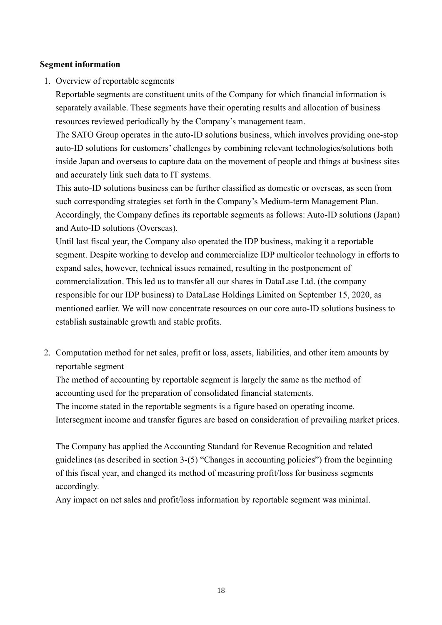## <span id="page-21-0"></span>**Segment information**

1. Overview of reportable segments

Reportable segments are constituent units of the Company for which financial information is separately available. These segments have their operating results and allocation of business resources reviewed periodically by the Company's management team.

The SATO Group operates in the auto-ID solutions business, which involves providing one-stop auto-ID solutions for customers' challenges by combining relevant technologies/solutions both inside Japan and overseas to capture data on the movement of people and things at business sites and accurately link such data to IT systems.

This auto-ID solutions business can be further classified as domestic or overseas, as seen from such corresponding strategies set forth in the Company's Medium-term Management Plan. Accordingly, the Company defines its reportable segments as follows: Auto-ID solutions (Japan) and Auto-ID solutions (Overseas).

Until last fiscal year, the Company also operated the IDP business, making it a reportable segment. Despite working to develop and commercialize IDP multicolor technology in efforts to expand sales, however, technical issues remained, resulting in the postponement of commercialization. This led us to transfer all our shares in DataLase Ltd. (the company responsible for our IDP business) to DataLase Holdings Limited on September 15, 2020, as mentioned earlier. We will now concentrate resources on our core auto-ID solutions business to establish sustainable growth and stable profits.

2. Computation method for net sales, profit or loss, assets, liabilities, and other item amounts by reportable segment

The method of accounting by reportable segment is largely the same as the method of accounting used for the preparation of consolidated financial statements.

The income stated in the reportable segments is a figure based on operating income. Intersegment income and transfer figures are based on consideration of prevailing market prices.

The Company has applied the Accounting Standard for Revenue Recognition and related guidelines (as described in section 3-(5) "Changes in accounting policies") from the beginning of this fiscal year, and changed its method of measuring profit/loss for business segments accordingly.

Any impact on net sales and profit/loss information by reportable segment was minimal.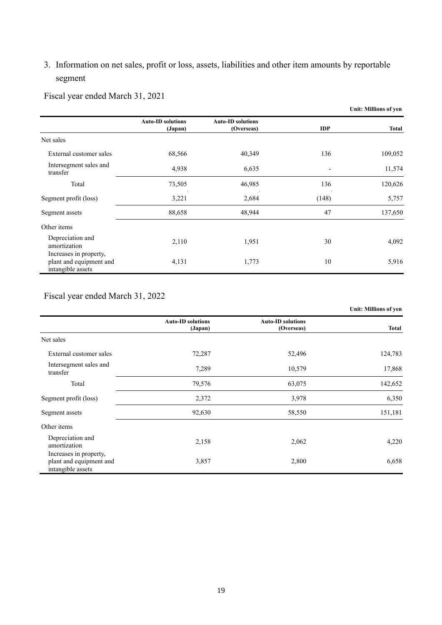# 3. Information on net sales, profit or loss, assets, liabilities and other item amounts by reportable segment

Fiscal year ended March 31, 2021

|                                                                        |                                     |                                        |            | Unit: Millions of yen |
|------------------------------------------------------------------------|-------------------------------------|----------------------------------------|------------|-----------------------|
|                                                                        | <b>Auto-ID solutions</b><br>(Japan) | <b>Auto-ID solutions</b><br>(Overseas) | <b>IDP</b> | <b>Total</b>          |
| Net sales                                                              |                                     |                                        |            |                       |
| External customer sales                                                | 68,566                              | 40,349                                 | 136        | 109,052               |
| Intersegment sales and<br>transfer                                     | 4,938                               | 6,635                                  |            | 11,574                |
| Total                                                                  | 73,505                              | 46,985                                 | 136        | 120,626               |
| Segment profit (loss)                                                  | 3,221                               | 2,684                                  | (148)      | 5,757                 |
| Segment assets                                                         | 88,658                              | 48,944                                 | 47         | 137,650               |
| Other items                                                            |                                     |                                        |            |                       |
| Depreciation and<br>amortization                                       | 2,110                               | 1,951                                  | 30         | 4,092                 |
| Increases in property,<br>plant and equipment and<br>intangible assets | 4,131                               | 1,773                                  | 10         | 5,916                 |

Fiscal year ended March 31, 2022

|                                                                        |                                     |                                        | <b>Unit: Millions of yen</b> |
|------------------------------------------------------------------------|-------------------------------------|----------------------------------------|------------------------------|
|                                                                        | <b>Auto-ID solutions</b><br>(Japan) | <b>Auto-ID solutions</b><br>(Overseas) | <b>Total</b>                 |
| Net sales                                                              |                                     |                                        |                              |
| External customer sales                                                | 72,287                              | 52,496                                 | 124,783                      |
| Intersegment sales and<br>transfer                                     | 7,289                               | 10,579                                 | 17,868                       |
| Total                                                                  | 79,576                              | 63,075                                 | 142,652                      |
| Segment profit (loss)                                                  | 2,372                               | 3,978                                  | 6,350                        |
| Segment assets                                                         | 92,630                              | 58,550                                 | 151,181                      |
| Other items                                                            |                                     |                                        |                              |
| Depreciation and<br>amortization                                       | 2,158                               | 2,062                                  | 4,220                        |
| Increases in property,<br>plant and equipment and<br>intangible assets | 3,857                               | 2,800                                  | 6,658                        |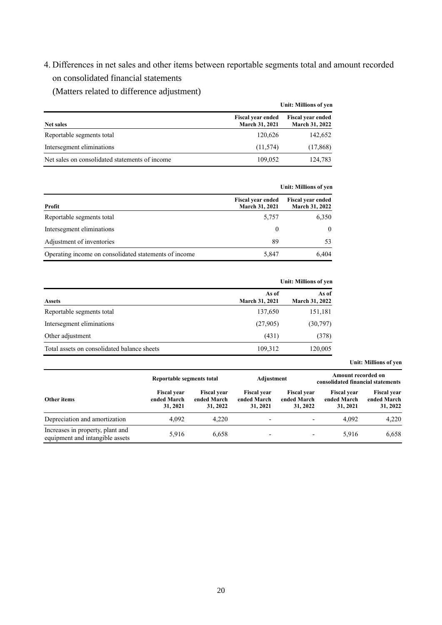4. Differences in net sales and other items between reportable segments total and amount recorded on consolidated financial statements

(Matters related to difference adjustment)

|                                                | Unit: Millions of ven                             |                                                   |  |  |
|------------------------------------------------|---------------------------------------------------|---------------------------------------------------|--|--|
| <b>Net sales</b>                               | <b>Fiscal year ended</b><br><b>March 31, 2021</b> | <b>Fiscal year ended</b><br><b>March 31, 2022</b> |  |  |
| Reportable segments total                      | 120,626                                           | 142,652                                           |  |  |
| Intersegment eliminations                      | (11,574)                                          | (17, 868)                                         |  |  |
| Net sales on consolidated statements of income | 109,052                                           | 124,783                                           |  |  |

|                                                       | Unit: Millions of yen                      |                                                   |  |
|-------------------------------------------------------|--------------------------------------------|---------------------------------------------------|--|
| Profit                                                | <b>Fiscal year ended</b><br>March 31, 2021 | <b>Fiscal year ended</b><br><b>March 31, 2022</b> |  |
| Reportable segments total                             | 5,757                                      | 6,350                                             |  |
| Intersegment eliminations                             | 0                                          | $\theta$                                          |  |
| Adjustment of inventories                             | 89                                         | 53                                                |  |
| Operating income on consolidated statements of income | 5,847                                      | 6.404                                             |  |

|                                             |                                | <b>Unit: Millions of yen</b> |
|---------------------------------------------|--------------------------------|------------------------------|
| <b>Assets</b>                               | As of<br><b>March 31, 2021</b> | As of<br>March 31, 2022      |
| Reportable segments total                   | 137,650                        | 151,181                      |
| Intersegment eliminations                   | (27,905)                       | (30,797)                     |
| Other adjustment                            | (431)                          | (378)                        |
| Total assets on consolidated balance sheets | 109,312                        | 120,005                      |

|                                                                     |                                               |                                               |                                               |                                               | Amount recorded on                            |                                               |
|---------------------------------------------------------------------|-----------------------------------------------|-----------------------------------------------|-----------------------------------------------|-----------------------------------------------|-----------------------------------------------|-----------------------------------------------|
|                                                                     | Reportable segments total                     |                                               | Adjustment                                    |                                               | consolidated financial statements             |                                               |
| Other items                                                         | <b>Fiscal year</b><br>ended March<br>31, 2021 | <b>Fiscal vear</b><br>ended March<br>31, 2022 | <b>Fiscal vear</b><br>ended March<br>31, 2021 | <b>Fiscal year</b><br>ended March<br>31, 2022 | <b>Fiscal year</b><br>ended March<br>31, 2021 | <b>Fiscal year</b><br>ended March<br>31, 2022 |
| Depreciation and amortization                                       | 4.092                                         | 4.220                                         | $\overline{\phantom{a}}$                      | $\overline{\phantom{a}}$                      | 4.092                                         | 4,220                                         |
| Increases in property, plant and<br>equipment and intangible assets | 5,916                                         | 6,658                                         | $\overline{\phantom{a}}$                      | ٠                                             | 5,916                                         | 6,658                                         |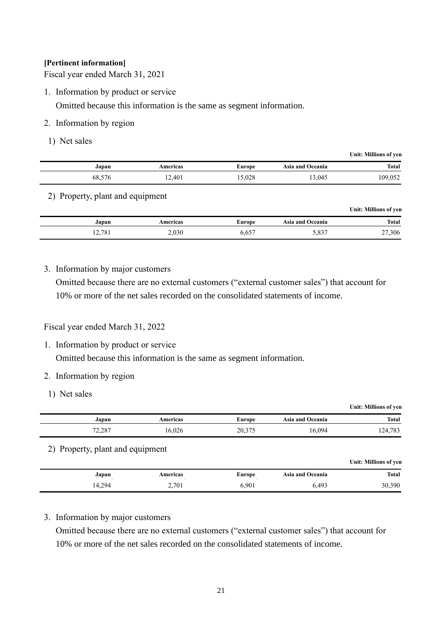### **[Pertinent information]**

Fiscal year ended March 31, 2021

1. Information by product or service

Omitted because this information is the same as segment information.

- 2. Information by region
- 1) Net sales

| Unit: Millions of yen |                  |        |          |        |
|-----------------------|------------------|--------|----------|--------|
| <b>Total</b>          | Asia and Oceania | Europe | Americas | Japan  |
| 109,052               | 13,045           | 15,028 | 12,401   | 68,576 |
|                       |                  |        |          |        |

### 2) Property, plant and equipment

|        |          |               |                  | Unit: Millions of yen |
|--------|----------|---------------|------------------|-----------------------|
| Japan  | Americas | <b>Europe</b> | Asia and Oceania | <b>Total</b>          |
| 12,781 | 2,030    | 6,657         | 5,837            | 27,306                |

## 3. Information by major customers

Omitted because there are no external customers ("external customer sales") that account for 10% or more of the net sales recorded on the consolidated statements of income.

### Fiscal year ended March 31, 2022

1. Information by product or service

Omitted because this information is the same as segment information.

### 2. Information by region

1) Net sales

|                                  |          |               |                         | Unit: Millions of yen |
|----------------------------------|----------|---------------|-------------------------|-----------------------|
| Japan                            | Americas | <b>Europe</b> | <b>Asia and Oceania</b> | <b>Total</b>          |
| 72,287                           | 16,026   | 20,375        | 16.094                  | 124,783               |
| 2) Property, plant and equipment |          |               |                         | Unit: Millions of yen |
| Japan                            | Americas | <b>Europe</b> | <b>Asia and Oceania</b> | <b>Total</b>          |
| 14,294                           | 2,701    | 6,901         | 6,493                   | 30,390                |

### 3. Information by major customers

Omitted because there are no external customers ("external customer sales") that account for 10% or more of the net sales recorded on the consolidated statements of income.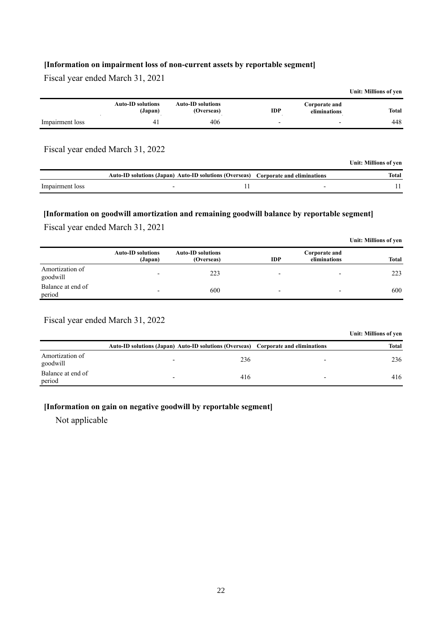### **[Information on impairment loss of non-current assets by reportable segment]**

Fiscal year ended March 31, 2021

|                 |                                     |                                                                                                 |            |                               | Unit: Millions of yen |
|-----------------|-------------------------------------|-------------------------------------------------------------------------------------------------|------------|-------------------------------|-----------------------|
|                 | <b>Auto-ID solutions</b><br>(Japan) | <b>Auto-ID solutions</b><br>(Overseas)                                                          | <b>IDP</b> | Corporate and<br>eliminations | <b>Total</b>          |
| Impairment loss | 41                                  | 406                                                                                             |            | $\overline{\phantom{a}}$      | 448                   |
|                 | Fiscal year ended March 31, 2022    |                                                                                                 |            |                               |                       |
|                 |                                     |                                                                                                 |            |                               | Unit: Millions of yen |
|                 |                                     | Auto ID colutions (Janan), Auto ID colutions (Oxensees). $\alpha$ , and $\alpha$ , and $\alpha$ |            |                               | $T_{\alpha}$ tal      |

|                 | Auto-ID solutions (Japan) Auto-ID solutions (Overseas) Corporate and eliminations |  | Total |
|-----------------|-----------------------------------------------------------------------------------|--|-------|
| Impairment loss |                                                                                   |  |       |

### **[Information on goodwill amortization and remaining goodwill balance by reportable segment]**

Fiscal year ended March 31, 2021

|                             |                                     |                                        |                          |                               | Unit: Millions of yen |
|-----------------------------|-------------------------------------|----------------------------------------|--------------------------|-------------------------------|-----------------------|
|                             | <b>Auto-ID solutions</b><br>(Japan) | <b>Auto-ID solutions</b><br>(Overseas) | <b>IDP</b>               | Corporate and<br>eliminations | <b>Total</b>          |
| Amortization of<br>goodwill | -                                   | 223                                    | $\overline{\phantom{0}}$ | -                             | 223                   |
| Balance at end of<br>period |                                     | 600                                    | $\overline{\phantom{0}}$ |                               | 600                   |

Fiscal year ended March 31, 2022

|                             |                          |                                                                                   |                          | Unit: Millions of ven |
|-----------------------------|--------------------------|-----------------------------------------------------------------------------------|--------------------------|-----------------------|
|                             |                          | Auto-ID solutions (Japan) Auto-ID solutions (Overseas) Corporate and eliminations |                          | <b>Total</b>          |
| Amortization of<br>goodwill | $\overline{\phantom{0}}$ | 236                                                                               | $\overline{\phantom{0}}$ | 236                   |
| Balance at end of<br>period | -                        | 416                                                                               | $\overline{\phantom{0}}$ | 416                   |

### **[Information on gain on negative goodwill by reportable segment]**

Not applicable